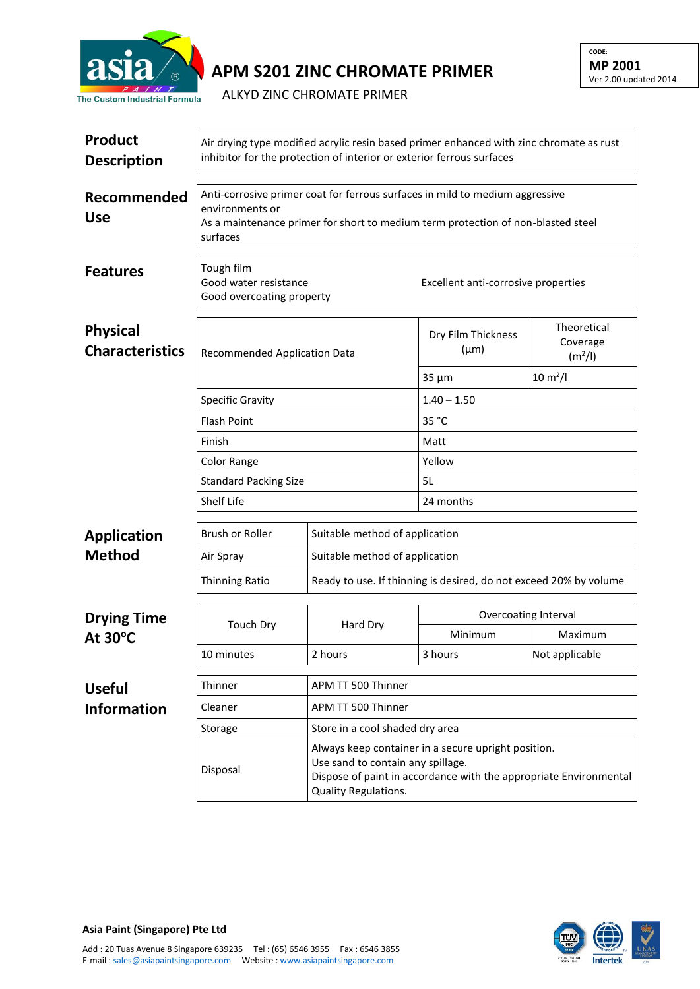

## **APM S201 ZINC CHROMATE PRIMER**

ALKYD ZINC CHROMATE PRIMER

| <b>Product</b><br><b>Description</b>      | Air drying type modified acrylic resin based primer enhanced with zinc chromate as rust<br>inhibitor for the protection of interior or exterior ferrous surfaces                                |                                                                                                                                                                                       |                                     |                                                |  |  |
|-------------------------------------------|-------------------------------------------------------------------------------------------------------------------------------------------------------------------------------------------------|---------------------------------------------------------------------------------------------------------------------------------------------------------------------------------------|-------------------------------------|------------------------------------------------|--|--|
| Recommended<br><b>Use</b>                 | Anti-corrosive primer coat for ferrous surfaces in mild to medium aggressive<br>environments or<br>As a maintenance primer for short to medium term protection of non-blasted steel<br>surfaces |                                                                                                                                                                                       |                                     |                                                |  |  |
| <b>Features</b>                           | Tough film<br>Good water resistance<br>Good overcoating property                                                                                                                                |                                                                                                                                                                                       | Excellent anti-corrosive properties |                                                |  |  |
| <b>Physical</b><br><b>Characteristics</b> | Recommended Application Data<br><b>Specific Gravity</b><br><b>Flash Point</b><br>Finish<br>Color Range<br><b>Standard Packing Size</b>                                                          |                                                                                                                                                                                       | Dry Film Thickness<br>$(\mu m)$     | Theoretical<br>Coverage<br>(m <sup>2</sup> /I) |  |  |
|                                           |                                                                                                                                                                                                 |                                                                                                                                                                                       | $35 \mu m$                          | $10 \, \text{m}^2$ /l                          |  |  |
|                                           |                                                                                                                                                                                                 |                                                                                                                                                                                       | $1.40 - 1.50$                       |                                                |  |  |
|                                           |                                                                                                                                                                                                 |                                                                                                                                                                                       | 35 °C                               |                                                |  |  |
|                                           |                                                                                                                                                                                                 |                                                                                                                                                                                       | Matt                                |                                                |  |  |
|                                           |                                                                                                                                                                                                 |                                                                                                                                                                                       | Yellow                              |                                                |  |  |
|                                           |                                                                                                                                                                                                 |                                                                                                                                                                                       | 5L                                  |                                                |  |  |
|                                           | Shelf Life                                                                                                                                                                                      |                                                                                                                                                                                       | 24 months                           |                                                |  |  |
| <b>Application</b>                        | Brush or Roller                                                                                                                                                                                 | Suitable method of application                                                                                                                                                        |                                     |                                                |  |  |
| <b>Method</b>                             | Air Spray                                                                                                                                                                                       | Suitable method of application                                                                                                                                                        |                                     |                                                |  |  |
|                                           | <b>Thinning Ratio</b>                                                                                                                                                                           | Ready to use. If thinning is desired, do not exceed 20% by volume                                                                                                                     |                                     |                                                |  |  |
| <b>Drying Time</b><br>At 30°C             | Touch Dry                                                                                                                                                                                       | Hard Dry                                                                                                                                                                              | Overcoating Interval                |                                                |  |  |
|                                           |                                                                                                                                                                                                 |                                                                                                                                                                                       | Minimum                             | Maximum                                        |  |  |
|                                           | 10 minutes                                                                                                                                                                                      | 2 hours                                                                                                                                                                               | 3 hours                             | Not applicable                                 |  |  |
| <b>Useful</b>                             | Thinner                                                                                                                                                                                         | APM TT 500 Thinner                                                                                                                                                                    |                                     |                                                |  |  |
| <b>Information</b>                        | Cleaner                                                                                                                                                                                         | APM TT 500 Thinner                                                                                                                                                                    |                                     |                                                |  |  |
|                                           | Storage                                                                                                                                                                                         | Store in a cool shaded dry area                                                                                                                                                       |                                     |                                                |  |  |
|                                           | Disposal                                                                                                                                                                                        | Always keep container in a secure upright position.<br>Use sand to contain any spillage.<br>Dispose of paint in accordance with the appropriate Environmental<br>Quality Regulations. |                                     |                                                |  |  |